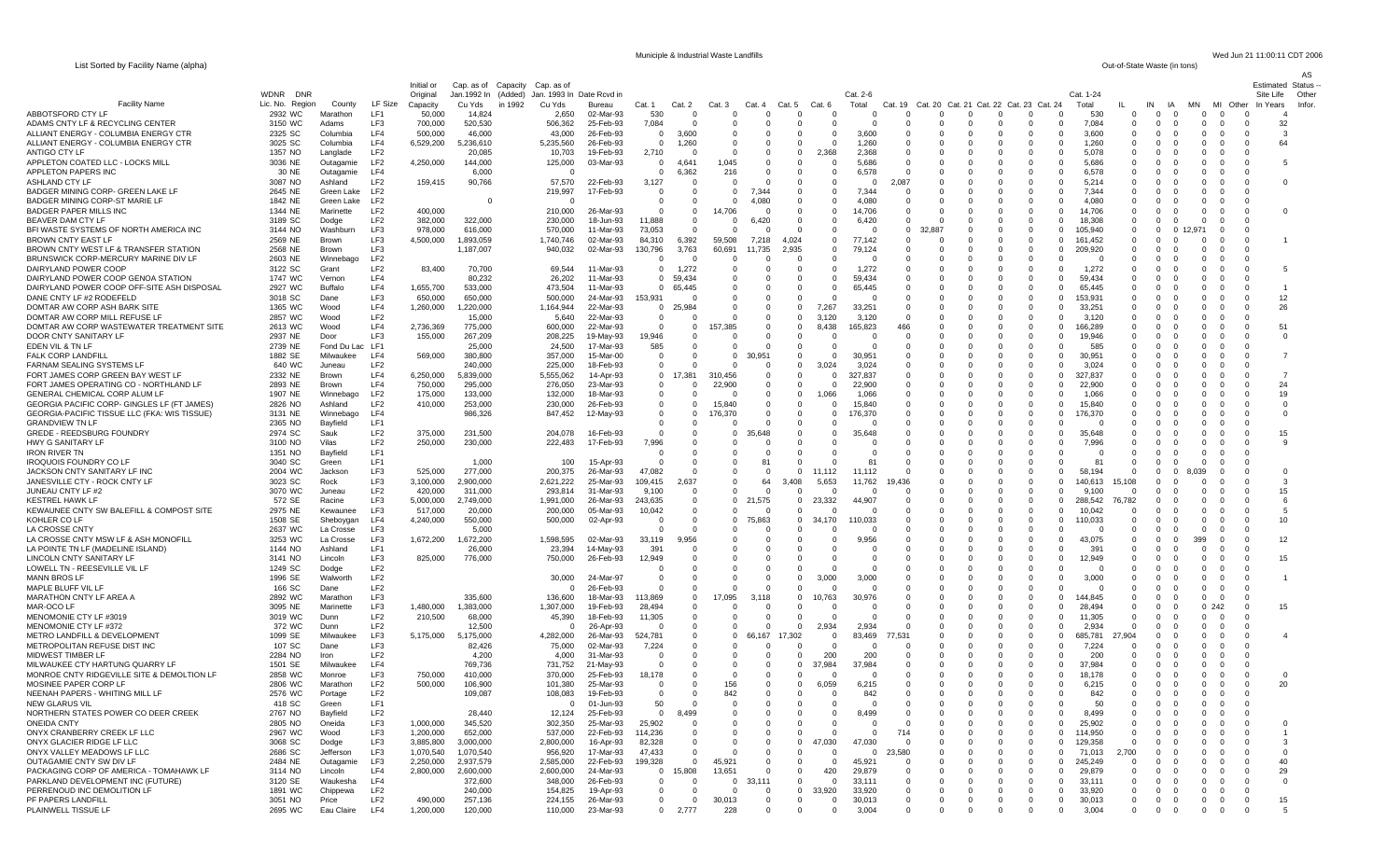List Sorted by Facility Name (alpha)

Municiple & Industrial Waste Landfills Wed Jun 21 11:00:11 CDT 2006<br>Out-of-State Waste (in tons)

| $\frac{1}{2}$ . $\frac{1}{2}$ . $\frac{1}{2}$ . $\frac{1}{2}$ . $\frac{1}{2}$ . $\frac{1}{2}$ . $\frac{1}{2}$ . $\frac{1}{2}$ . $\frac{1}{2}$ |                    |                              |                                    |                        |                                |         |                                            |                        |                             |                      |                     |                               |                                |                        |                         |                        |                          |                                                  |                                         |                                             |                                  |                              |                       |                                                                                                           |                               | AS     |
|-----------------------------------------------------------------------------------------------------------------------------------------------|--------------------|------------------------------|------------------------------------|------------------------|--------------------------------|---------|--------------------------------------------|------------------------|-----------------------------|----------------------|---------------------|-------------------------------|--------------------------------|------------------------|-------------------------|------------------------|--------------------------|--------------------------------------------------|-----------------------------------------|---------------------------------------------|----------------------------------|------------------------------|-----------------------|-----------------------------------------------------------------------------------------------------------|-------------------------------|--------|
|                                                                                                                                               | <b>WDNR</b><br>DNR |                              |                                    | Initial or             | Cap. as of Capacity Cap. as of |         |                                            |                        |                             |                      |                     |                               |                                |                        | Cat. 2-6                |                        |                          |                                                  |                                         | Cat. 1-24                                   |                                  |                              |                       |                                                                                                           | Estimated Status<br>Site Life | Other  |
| <b>Facility Name</b>                                                                                                                          | Lic. No. Region    | County                       | LF Size                            | Original<br>Capacity   | Cu Yds                         | in 1992 | Jan.1992 In (Added) Jan. 1993 In<br>Cu Yds | Date Rcvd in<br>Bureau | Cat. 1                      | Cat. 2               | Cat. 3              | Cat. 4                        | Cat.                           | Cat. 6                 | Total                   | Cat. 19                |                          |                                                  | Cat. 20 Cat. 21 Cat. 22 Cat. 23 Cat. 24 | Total                                       |                                  | IN                           | IA<br>MN              | MI<br>Other                                                                                               | In Years                      | Infor. |
| ABBOTSFORD CTY LF                                                                                                                             | 2932 WC            | Marathon                     | LF <sub>1</sub>                    | 50,000                 | 14,824                         |         | 2,650                                      | 02-Mar-93              | 530                         | $\Omega$             | $\Omega$            | $\Omega$                      |                                |                        | $\Omega$                | $\Omega$               | $\Omega$                 | $\Omega$<br>- 0                                  | $\Omega$                                | 530<br>$\Omega$                             | $\Omega$                         | $\Omega$                     | - 0                   | $\Omega$<br>$\Omega$                                                                                      |                               |        |
| ADAMS CNTY LF & RECYCLING CENTER                                                                                                              | 3150 WC            | Adams                        | LF3                                | 700,000                | 520,530                        |         | 506,362                                    | 25-Feb-93              | 7,084                       | $\Omega$             | -0                  | $\Omega$                      | $\Omega$                       | $\Omega$               | $\Omega$                | - 0                    | $\Omega$                 | - 0<br>$\Omega$                                  | $\Omega$                                | 7.084<br>$\Omega$                           | $\Omega$                         | $\Omega$                     | - 0                   | $\mathbf{0}$<br>$\mathbf{0}$<br>$\Omega$                                                                  | 32                            |        |
| ALLIANT ENERGY - COLUMBIA ENERGY CTR<br>ALLIANT ENERGY - COLUMBIA ENERGY CTR                                                                  | 2325 SC<br>3025 SC | Columbia<br>Columbia         | LF4<br>LF4                         | 500,000<br>6,529,200   | 46,000<br>5,236,610            |         | 43,000<br>5,235,560                        | 26-Feb-93<br>26-Feb-93 | $\mathbf{0}$<br>$\mathbf 0$ | 3,600<br>1,260       | 0                   | 0<br>- 0                      | 0<br>$\Omega$                  | 0<br>$\Omega$          | 3,600<br>1,260          |                        | 0<br>$\Omega$            | $\mathbf 0$<br>0<br>$\Omega$                     | 0<br>$\Omega$                           | 3,600<br>$\mathbf 0$<br>$\Omega$<br>1,260   | $^{\circ}$<br>$\Omega$           | 0<br>$\Omega$                | C                     | 0<br>0<br>0<br>$\Omega$<br>$\Omega$<br>- 0                                                                | 64                            |        |
| ANTIGO CTY LF                                                                                                                                 | 1357 NO            | Langlade                     | LF2                                |                        | 20,085                         |         | 10,703                                     | 19-Feb-93              | 2,710                       |                      |                     | 0                             | $^{\circ}$                     | 2,368                  | 2,368                   |                        |                          | $\Omega$                                         | $\Omega$                                | 5,078<br>$\Omega$                           | $\Omega$                         | $\Omega$                     |                       | 0<br>$\Omega$<br>$\Omega$                                                                                 |                               |        |
| APPLETON COATED LLC - LOCKS MILL                                                                                                              | 3036 NE            | Outagamie                    | LF <sub>2</sub>                    | 4,250,000              | 144,000                        |         | 125,000                                    | 03-Mar-93              | $\mathbf{0}$                | 4,641                | 1,045               | 0                             | $\mathbf 0$                    |                        | 5,686                   |                        |                          | 0                                                | 0                                       | 5,686<br>$\mathbf 0$                        | $\Omega$                         | 0                            |                       | 0<br>$\Omega$                                                                                             |                               |        |
| APPLETON PAPERS INC<br>ASHLAND CTY LF                                                                                                         | 30 NE<br>3087 NO   | Outagamie<br>Ashland         | LF4<br>LF <sub>2</sub>             | 159,415                | 6,000<br>90,766                |         | $\Omega$<br>57,570                         | 22-Feb-93              | $\mathbf{0}$<br>3,127       | 6,362                | 216                 | $\Omega$                      | $\Omega$                       | $\Omega$               | 6,578                   | 2,087                  | $\Omega$                 | $\Omega$<br>$\Omega$<br>0                        | $\Omega$<br>$\Omega$                    | $\Omega$<br>6,578<br>5,214<br>$\Omega$      | $\Omega$                         | $\Omega$<br>$\Omega$         |                       | $\Omega$<br>$\Omega$<br>$\Omega$<br>0<br>- 0                                                              |                               |        |
| BADGER MINING CORP- GREEN LAKE LF                                                                                                             | 2645 NE            | Green Lake                   | LF2                                |                        |                                |         | 219,997                                    | 17-Feb-93              | 0                           | 0                    | $\Omega$            | 7.344                         | - 0                            | $\Omega$               | 7,344                   |                        | - ( )                    | 0                                                | 0                                       | 7,344<br>$\mathbf 0$                        | $\Omega$                         | $\Omega$                     | - 0                   | 0<br>0<br>- 0                                                                                             |                               |        |
| BADGER MINING CORP-ST MARIE LF                                                                                                                | 1842 NE            | Green Lake                   | LF <sub>2</sub>                    |                        | $\Omega$                       |         | $\Omega$                                   |                        | $\mathbf{0}$                | $\Omega$             |                     | 4,080                         | $\Omega$                       | $\Omega$               | 4,080                   |                        | $\Omega$                 | $\Omega$                                         | $\Omega$                                | $\Omega$<br>4.080                           | $\Omega$                         | $\Omega$                     |                       | $\Omega$<br>$\Omega$<br>$\Omega$                                                                          |                               |        |
| <b>BADGER PAPER MILLS INC</b>                                                                                                                 | 1344 NE            | Marinette                    | LF <sub>2</sub>                    | 400,000                |                                |         | 210,000                                    | 26-Mar-93              | $\mathbf 0$                 | 0                    | 14,706              | $\Omega$                      |                                |                        | 14,706                  |                        |                          | $\Omega$                                         |                                         | 14,706<br>$\Omega$                          |                                  |                              |                       | $\Omega$<br>$\Omega$                                                                                      |                               |        |
| BEAVER DAM CTY LF<br>BFI WASTE SYSTEMS OF NORTH AMERICA INC                                                                                   | 3189 SC<br>3144 NO | Dodge<br>Washburn            | LF <sub>2</sub><br>LF3             | 382,000<br>978,000     | 322,000<br>616,000             |         | 230,000<br>570,000                         | 18-Jun-93<br>11-Mar-93 | 11,888<br>73,053            | 0<br>$\Omega$        | $\Omega$<br>$\cap$  | 6,420<br>$\Omega$             | 0<br>$\Omega$                  | - 0<br>$\Omega$        | 6,420                   | $\Omega$               | $\Omega$<br>32.887       | 0<br>0<br>$\Omega$                               | 0<br>$\Omega$                           | 18,308<br>$\Omega$<br>$\Omega$<br>105,940   | $\Omega$<br>$\Omega$             | $\Omega$<br>$\Omega$         | 0.12                  | 0<br>- 0<br>$\Omega$<br>$\Omega$<br>$\Omega$                                                              |                               |        |
| BROWN CNTY EAST LF                                                                                                                            | 2569 NE            | <b>Brown</b>                 | LF3                                | 4,500,000              | 1,893,059                      |         | 1,740,746                                  | 02-Mar-93              | 84,310                      | 6,392                | 59,508              | 7,218                         | 4,024                          | $\Omega$               | 77,142                  |                        |                          | $\mathbf 0$                                      | $\Omega$                                | $\mathbf 0$<br>161,452                      |                                  | $\Omega$                     |                       | 0                                                                                                         |                               |        |
| BROWN CNTY WEST LF & TRANSFER STATION                                                                                                         | 2568 NE            | <b>Brown</b>                 | LF3                                |                        | 1,187,007                      |         | 940,032                                    | 02-Mar-93              | 130,796                     | 3,763                | 60,691              | 11,735                        | 2,935                          | $\Omega$               | 79,124                  |                        | $\Omega$                 | $\mathbf{0}$<br>$\Omega$                         | $\mathbf 0$                             | 209,920<br>$\mathbf 0$                      | $\Omega$                         | $\Omega$                     |                       | 0<br>- 0<br>- 0                                                                                           |                               |        |
| BRUNSWICK CORP-MERCURY MARINE DIV LF<br>DAIRYLAND POWER COOP                                                                                  | 2603 NE<br>3122 SC | Winnebago<br>Grant           | LF <sub>2</sub><br>LF <sub>2</sub> | 83,400                 | 70,700                         |         | 69,544                                     | 11-Mar-93              | $^{\circ}$<br>$^{\circ}$    | -0<br>1,272          | - 0                 | O<br>0                        | $\Omega$<br>$\Omega$           | $\Omega$               | 1,272                   |                        | 0                        | $\Omega$<br>0<br>$\Omega$                        | $\Omega$<br>$\Omega$                    | $\Omega$<br>1,272<br>$\Omega$               | C                                | -0                           |                       | $\Omega$<br>$\Omega$<br>0<br>$\Omega$<br>0<br>$\Omega$                                                    |                               |        |
| DAIRYLAND POWER COOP GENOA STATION                                                                                                            | 1747 WC            | Vernon                       | LF4                                |                        | 80,232                         |         | 26,202                                     | 11-Mar-93              | $\mathbf{0}$                | 59,434               |                     | 0                             | $^{\circ}$                     | $\Omega$               | 59,434                  |                        | -0                       | 0                                                | $\Omega$                                | 59,434<br>$\Omega$                          | 0                                | $\Omega$                     |                       | 0<br>- 0<br>$\Omega$                                                                                      |                               |        |
| DAIRYLAND POWER COOP OFF-SITE ASH DISPOSAL                                                                                                    | 2927 WC            | Buffalo                      | LF4                                | 1,655,700              | 533,000                        |         | 473,504                                    | 11-Mar-93              | $\Omega$                    | 65,445               | $\Omega$            | $\Omega$                      | $\Omega$                       |                        | 65,445                  |                        | 0                        | $\Omega$<br>$\Omega$                             | $\Omega$                                | 65,445<br>$\Omega$                          | $\Omega$                         | $\Omega$                     |                       | $\Omega$<br>$\Omega$<br>0                                                                                 |                               |        |
| DANE CNTY LF #2 RODEFELD                                                                                                                      | 3018 SC            | Dane                         | LF3<br>LF4                         | 650,000                | 650,000                        |         | 500,000                                    | 24-Mar-93              | 153,931                     |                      |                     | $\Omega$<br>$\Omega$          | $\Omega$<br>$\Omega$           |                        |                         |                        |                          | $\Omega$                                         | $\Omega$                                | $\Omega$<br>153,93<br>$\Omega$              |                                  | -0                           |                       | $\Omega$                                                                                                  | 12                            |        |
| DOMTAR AW CORP ASH BARK SITE<br>DOMTAR AW CORP MILL REFUSE LF                                                                                 | 1365 WC<br>2857 WC | Wood<br>Wood                 | LF <sub>2</sub>                    | 1,260,000              | 1,220,000<br>15,000            |         | 1,164,944<br>5,640                         | 22-Mar-93<br>22-Mar-93 | $^{\circ}$<br>$\mathbf{0}$  | 25,984<br>0          | $\Omega$            | - 0                           | $\Omega$                       | 7,267<br>3,120         | 33,251<br>3,120         |                        | 0                        | 0<br>$\Omega$<br>0                               | $\Omega$                                | 33,251<br>3,120<br>$\Omega$                 | 0<br>$\Omega$                    | $\Omega$<br>$\Omega$         |                       | 0<br>- 0<br>- 0<br>$\Omega$<br>$\Omega$<br>$\Omega$                                                       | 26                            |        |
| DOMTAR AW CORP WASTEWATER TREATMENT SITE                                                                                                      | 2613 WC            | Wood                         | LF4                                | 2,736,369              | 775,000                        |         | 600,000                                    | 22-Mar-93              | $\mathbf 0$                 | 0                    | 157,385             | - 0                           | $\Omega$                       | 8,438                  | 165,823                 | 466                    |                          | $\Omega$                                         | $\Omega$                                | 166,289<br>$\Omega$                         | $\Omega$                         | 0                            |                       | $\Omega$<br>$\Omega$<br>- 0                                                                               | 51                            |        |
| DOOR CNTY SANITARY LF                                                                                                                         | 2937 NE            | Door                         | LF3                                | 155,000                | 267,209                        |         | 208,225                                    | 19-May-93              | 19,946                      | n                    |                     | $\Omega$                      |                                |                        |                         |                        |                          | $\Omega$                                         | $\Omega$                                | 19,946<br>$\Omega$                          | $\Omega$                         | $\Omega$                     |                       | $\Omega$<br>$\Omega$<br>$\Omega$                                                                          |                               |        |
| EDEN VIL & TN LF<br>FALK CORP LANDFIL                                                                                                         | 2739 NE<br>1882 SE | Fond Du Lac LF1<br>Milwaukee | LF4                                | 569,000                | 25,000<br>380,800              |         | 24,500<br>357,000                          | 17-Mar-93<br>15-Mar-00 | 585<br>$\overline{0}$       | 0<br>$\Omega$        | - 0<br>- 0          | $\mathbf 0$<br>30,951         | - 0<br>$\Omega$                | - 0                    | $\Omega$<br>30,951      |                        | 0                        | $\mathbf 0$<br>0<br>$\Omega$                     | $\mathbf 0$<br>$\Omega$                 | 585<br>$\Omega$<br>30,951<br>$\Omega$       | $\Omega$                         | 0<br>$\Omega$                |                       | 0<br>0<br>$\Omega$<br>$\Omega$<br>$\Omega$<br>$\Omega$                                                    |                               |        |
| FARNAM SEALING SYSTEMS LF                                                                                                                     | 640 WC             | Juneau                       | LF2                                |                        | 240,000                        |         | 225,000                                    | 18-Feb-93              | $\Omega$                    |                      |                     | $\Omega$                      | $\Omega$                       | 3.024                  | 3,024                   |                        |                          | $\Omega$                                         | $\Omega$                                | 3,024<br>$\Omega$                           | <sup>0</sup>                     | $\Omega$                     |                       | $\Omega$<br>$\Omega$<br>$\Omega$                                                                          |                               |        |
| FORT JAMES CORP GREEN BAY WEST LF                                                                                                             | 2332 NE            | Brown                        | LF4                                | 6,250,000              | 5,839,000                      |         | 5,555,062                                  | 14-Apr-93              | $\mathbf{0}$                | 17,381               | 310,456             | $\mathbf 0$                   | $\mathbf 0$                    |                        | 327,837                 |                        | 0                        | $\mathbf 0$<br>0                                 | $\mathbf 0$                             | 327,837<br>$\mathbf 0$                      | $\Omega$                         | 0                            |                       | 0<br>0<br>0                                                                                               |                               |        |
| FORT JAMES OPERATING CO - NORTHLAND LF                                                                                                        | 2893 NE            | Brown                        | LF4                                | 750,000                | 295,000                        |         | 276,050                                    | 23-Mar-93              | $\mathbf{0}$                | -0                   | 22,900              | $\Omega$                      | $\Omega$                       |                        | 22,900                  |                        | $\Omega$                 | $\Omega$                                         | $\Omega$                                | 22,900<br>$\Omega$                          | $\Omega$                         | $\Omega$                     |                       | $\Omega$<br>$\Omega$<br>$\Omega$                                                                          | 24                            |        |
| GENERAL CHEMICAL CORP ALUM LF<br><b>GEORGIA PACIFIC CORP- GINGLES LF (FT JAMES)</b>                                                           | 1907 NE<br>2826 NO | Winnebago<br>Ashland         | LF2<br>LF <sub>2</sub>             | 175,000<br>410,000     | 133,000<br>253,000             |         | 132,000<br>230,000                         | 18-Mar-93<br>26-Feb-93 | $^{\circ}$<br>$^{\circ}$    | 0<br>$\Omega$        | 15,840              | $\Omega$<br>$\mathbf 0$       | $^{\circ}$<br>$\Omega$         | 1,066<br>$\Omega$      | 1,066<br>15,840         |                        | $\Omega$                 | $\Omega$<br>$\mathbf 0$<br>0                     | $\Omega$<br>$\mathbf 0$                 | $\Omega$<br>1,066<br>15,840<br>$\Omega$     | $\Omega$                         | $\Omega$<br>$\Omega$         |                       | $\Omega$<br>0<br>- 0<br>0<br>0<br>$\Omega$                                                                | 19<br>$^{\circ}$              |        |
| GEORGIA-PACIFIC TISSUE LLC (FKA: WIS TISSUE                                                                                                   | 3131 NE            | Winnebago                    | LF4                                |                        | 986,326                        |         | 847,452                                    | 12-May-93              | $\mathbf 0$                 | $\Omega$             | 176,370             | $\Omega$                      | $\Omega$                       | $\Omega$               | 176,370                 |                        | $\Omega$                 | $\Omega$<br>- 0                                  | $\Omega$                                | 176,370<br>$\Omega$                         |                                  | $\Omega$                     |                       | 0<br>- 0<br>$\Omega$                                                                                      | $\Omega$                      |        |
| GRANDVIEW TN LF                                                                                                                               | 2365 NO            | Bayfield                     | LF <sub>1</sub>                    |                        |                                |         |                                            |                        | $\mathbf 0$                 |                      |                     |                               |                                |                        |                         |                        |                          | $\Omega$                                         |                                         | $\Omega$                                    |                                  | $\Omega$                     |                       | 0<br>- 0<br>- 0                                                                                           |                               |        |
| GREDE - REEDSBURG FOUNDRY                                                                                                                     | 2974 SC            | Sauk                         | LF <sub>2</sub><br>LF <sub>2</sub> | 375,000                | 231,500                        |         | 204,078                                    | 16-Feb-93              | $\mathbf{0}$<br>7,996       | U                    | $\mathbf{0}$<br>- 0 | 35,648<br>$\Omega$            | $\Omega$                       | 0<br>$\Omega$          | 35,648                  |                        | 0<br>$\Omega$            | 0<br>0<br>$\Omega$                               | 0<br>$\Omega$                           | 35,648<br>0<br>$\Omega$                     | <sup>0</sup><br>$\Omega$         | 0                            |                       | 0<br>0<br>0<br>$\Omega$<br>$\Omega$<br>- 0                                                                | 15<br>-9                      |        |
| HWY G SANITARY LF<br>IRON RIVER TN                                                                                                            | 3100 NO<br>1351 NO | Vilas<br>Bayfield            | LF1                                | 250,000                | 230,000                        |         | 222,483                                    | 17-Feb-93              | $\Omega$                    | -0<br>0              |                     | -0                            |                                |                        |                         |                        |                          | 0<br>$\Omega$                                    |                                         | 7,996<br>$\Omega$                           | $\Omega$                         | - ( )                        |                       | $\Omega$                                                                                                  |                               |        |
| IROQUOIS FOUNDRY CO LF                                                                                                                        | 3040 SC            | Green                        | LF1                                |                        | 1,000                          |         | 100                                        | 15-Apr-93              | $\mathbf 0$                 | 0                    | - 0                 | 81                            | - 0                            |                        | 81                      |                        | $\Omega$                 | 0<br>0                                           | 0                                       | 81<br>$\Omega$                              | $\Omega$                         | 0                            |                       | 0<br>$\Omega$                                                                                             |                               |        |
| JACKSON CNTY SANITARY LF INC                                                                                                                  | 2004 WC            | Jackson                      | LF3                                | 525,000                | 277,000                        |         | 200,375                                    | 26-Mar-93              | 47,082                      | $\Omega$             | $\Omega$            | $\Omega$                      | $\Omega$                       | 11,112                 | 11,112                  |                        | $\Omega$                 | $\Omega$<br>$\Omega$                             | $\Omega$                                | $\Omega$<br>58.194                          | $\Omega$                         | $\Omega$                     | $\Omega$              | $\Omega$                                                                                                  | $\Omega$                      |        |
| JANESVILLE CTY - ROCK CNTY LF<br>JUNEAU CNTY LF #2                                                                                            | 3023 SC<br>3070 WC | Rock<br>Juneau               | LF3<br>LF <sub>2</sub>             | 3,100,000<br>420,000   | 2,900,000<br>311,000           |         | 2,621,222<br>293,814                       | 25-Mar-93<br>31-Mar-93 | 109,415<br>9,100            | 2,637<br>- 0         | $\Omega$            | 64<br>-0                      | 3,408                          | 5,653                  | 11,762<br>- 0           | 19,436                 |                          | $\Omega$<br>0<br>0                               | $\Omega$                                | $\Omega$<br>140,613<br>9,100<br>$\Omega$    | 15,108<br>$\Omega$               | 0<br>$\Omega$                |                       | 0<br>0<br>$\Omega$                                                                                        | -3<br>15                      |        |
| KESTREL HAWK LF                                                                                                                               | 572 SE             | Racine                       | LF3                                | 5,000,000              | 2,749,000                      |         | 1,991,000                                  | 26-Mar-93              | 243,635                     | $^{\circ}$           | $^{\circ}$          | 21,575                        | $\Omega$                       | 23,332                 | 44,907                  |                        | 0                        | $\Omega$<br>$\mathbf 0$                          | $\Omega$                                | 288,542<br>$\Omega$                         | 76,782                           | 0                            |                       | $\Omega$<br>$\Omega$<br>$\Omega$                                                                          | - 6                           |        |
| KEWAUNEE CNTY SW BALEFILL & COMPOST SITE                                                                                                      | 2975 NE            | Kewaunee                     | LF3                                | 517,000                | 20,000                         |         | 200,000                                    | 05-Mar-93              | 10,042                      | 0                    |                     | $\Omega$                      |                                |                        |                         |                        |                          | $\Omega$                                         | $\Omega$                                | 10,042<br>$\Omega$                          |                                  |                              |                       | 0<br>$\Omega$                                                                                             | -5                            |        |
| KOHLER CO LF                                                                                                                                  | 1508 SE            | Sheboygan                    | LF4                                | 4,240,000              | 550,000                        |         | 500,000                                    | 02-Apr-93              | $\Omega$<br>$\Omega$        | $\Omega$<br>$\Omega$ | $\Omega$            | 75,863<br>$\Omega$            | $\Omega$                       | 34,170                 | 110,033<br>$\Omega$     |                        | -0<br>$\Omega$           | 0<br>0<br>$\Omega$                               | $\Omega$<br>$\Omega$                    | 110,033<br>$\Omega$<br>$\Omega$             | $\Omega$<br>$\Omega$<br>$\Omega$ | $\Omega$<br>$\Omega$         |                       | $\Omega$<br>- 0<br>- 0<br>$\Omega$<br>$\Omega$<br>$\Omega$                                                | 10                            |        |
| LA CROSSE CNTY<br>LA CROSSE CNTY MSW LF & ASH MONOFILL                                                                                        | 2637 WC<br>3253 WC | La Crosse<br>La Crosse       | LF3<br>LF3                         | 1,672,200              | 5,000<br>1,672,200             |         | 1,598,595                                  | 02-Mar-93              | 33,119                      | 9,956                |                     |                               |                                |                        | 9,956                   |                        |                          | $\mathbf{0}$<br>$\Omega$                         |                                         | 43,075<br>$\Omega$                          |                                  |                              |                       | $\Omega$                                                                                                  | 12                            |        |
| LA POINTE TN LF (MADELINE ISLAND)                                                                                                             | 1144 NO            | Ashland                      | LF1                                |                        | 26,000                         |         | 23,394                                     | 14-May-93              | 391                         | -0                   |                     | 0                             | -0                             | - ()                   | $\Omega$                |                        | -0                       | - 0<br>$\Omega$                                  | $\Omega$                                | 391<br>$\Omega$                             | <sup>0</sup>                     | $\Omega$                     | - 0                   | - 0<br>$\Omega$<br>$\Omega$                                                                               |                               |        |
| LINCOLN CNTY SANITARY LF                                                                                                                      | 3141 NO            | Lincoln                      | LF3                                | 825,000                | 776,000                        |         | 750,000                                    | 26-Feb-93              | 12,949                      | $\Omega$             |                     | $\Omega$                      |                                | $\Omega$               | $\Omega$                |                        | $\Omega$                 | $\Omega$<br>$\Omega$                             | $\Omega$<br>$\Omega$                    | 12,949<br>$\Omega$                          |                                  | 0                            |                       | $\Omega$<br>$\Omega$<br>$\Omega$                                                                          | 15                            |        |
| LOWELL TN - REESEVILLE VIL LI<br>MANN BROS LF                                                                                                 | 1249 SC<br>1996 SE | Dodge<br>Walworth            | LF <sub>2</sub><br>LF <sub>2</sub> |                        |                                |         | 30,000                                     | 24-Mar-97              | 0<br>$\overline{0}$         | n<br>$\Omega$        | - 0                 | - 0<br>$\Omega$               | $\Omega$<br>$\Omega$           | 3.000                  | $\Omega$<br>3,000       |                        | $\Omega$<br>-0           | $\Omega$<br>$\Omega$<br>0                        | $\Omega$                                | $\Omega$<br>3,000<br>$\Omega$               | C<br>$\Omega$                    | - ( )<br>$\Omega$            | - 0                   | - 0<br>$\Omega$<br>- 0<br>$\Omega$<br>$\Omega$<br>$\Omega$                                                |                               |        |
| MAPLE BLUFF VIL LF                                                                                                                            | 166 SC             | Dane                         | LF <sub>2</sub>                    |                        |                                |         | $\mathbf 0$                                | 26-Feb-93              | $\mathbf 0$                 | 0                    | - 0                 | 0                             | $\mathbf 0$                    | - 0                    | - 0                     |                        | 0                        | 0                                                | 0                                       | $\mathbf 0$                                 | 0                                | 0                            |                       | 0<br>0<br>0                                                                                               |                               |        |
| MARATHON CNTY LF AREA A                                                                                                                       | 2892 WC            | Marathon                     | LF3                                |                        | 335,600                        |         | 136,600                                    | 18-Mar-93              | 113,869                     | 0                    | 17,095              | 3,118                         | $\Omega$                       | 10,763                 | 30,976                  |                        |                          | - 0                                              | $\Omega$                                | 144,845<br>$\Omega$                         |                                  | $\Omega$                     |                       | $\Omega$<br>- 0<br>- 0                                                                                    |                               |        |
| MAR-OCO LF<br>MENOMONIE CTY LF #3019                                                                                                          | 3095 NE            | Marinette                    | LF3<br>LF <sub>2</sub>             | 1,480,000<br>210,500   | 1,383,000<br>68,000            |         | 1,307,000<br>45,390                        | 19-Feb-93<br>18-Feb-93 | 28,494<br>11,305            | $\Omega$<br>0        | - 0<br>$\mathbf{0}$ | $\Omega$<br>$\mathbf 0$       | $\Omega$<br>0                  | 0                      | $\Omega$<br>$\Omega$    |                        | 0                        | $\Omega$<br>0<br>$\mathbf 0$                     | $\Omega$<br>$\mathbf 0$                 | 28.494<br>$\Omega$<br>11,305<br>$\mathbf 0$ | $\Omega$<br>$\Omega$             | $\Omega$<br>0                | - 0                   | 0.242<br>- 0<br>0<br>0<br>0                                                                               | 15                            |        |
| <b>MENOMONIE CTY LF #372</b>                                                                                                                  | 3019 WC<br>372 WC  | Dunn<br>Dunn                 | LF <sub>2</sub>                    |                        | 12,500                         |         | $\Omega$                                   | 26-Apr-93              | $\Omega$                    | 0                    | - 0                 | $\Omega$                      | $\Omega$                       | 2,934                  | 2,934                   |                        | $\Omega$                 | $\Omega$                                         | $\Omega$                                | 2,934<br>$\Omega$                           | $\Omega$                         | $\Omega$                     |                       | $\Omega$<br>$\Omega$<br>- 0                                                                               |                               |        |
| METRO LANDFILL & DEVELOPMENT                                                                                                                  | 1099 SE            | Milwaukee                    | LF3                                | 5,175,000              | 5,175,000                      |         | 4,282,000                                  | 26-Mar-93              | 524,781                     | 0                    |                     | 66,167                        | 17,302                         |                        | 83,469                  | 77,531                 |                          | 0                                                | $\Omega$                                | 685,781<br>0                                | 27,904                           | $\mathbf{0}$                 |                       | 0<br>$\Omega$<br>$\Omega$                                                                                 |                               |        |
| METROPOLITAN REFUSE DIST INC                                                                                                                  | 107 SC             | Dane                         | LF3                                |                        | 82,426                         |         | 75,000                                     | 02-Mar-93              | 7,224                       | 0                    |                     | 0                             |                                | $\Omega$               | - 0                     |                        |                          | $\mathbf 0$                                      | $\mathbf 0$                             | 7,224<br>$\mathbf 0$                        | $\Omega$                         | 0                            |                       | 0<br>$\Omega$                                                                                             |                               |        |
| MIDWEST TIMBER LF<br>MILWAUKEE CTY HARTUNG QUARRY LF                                                                                          | 2284 NO<br>1501 SE | Iron<br>Milwaukee            | LF <sub>2</sub><br>LF4             |                        | 4,200<br>769,736               |         | 4,000<br>731,752                           | 31-Mar-93<br>21-May-93 | $\Omega$<br>$\overline{0}$  | $\Omega$             | - 0                 | $\Omega$<br>-0                | $\Omega$<br>$^{\circ}$         | 200<br>37,984          | 200<br>37,984           |                        |                          | $\Omega$<br>$\Omega$<br>$\Omega$                 | $\Omega$                                | 200<br>$\Omega$<br>37,984<br>$\Omega$       | $\Omega$<br>$\Omega$             | $\Omega$<br>$\Omega$         |                       | $\Omega$<br>$\Omega$<br>0                                                                                 |                               |        |
| MONROE CNTY RIDGEVILLE SITE & DEMOLTION LF                                                                                                    | 2858 WC            | Monroe                       | LF3                                | 750,000                | 410,000                        |         | 370,000                                    | 25-Feb-93              | 18,178                      | 0                    | $\Omega$            | 0                             | $\Omega$                       |                        | $\Omega$                |                        | $\Omega$                 | $\Omega$<br>0                                    | 0                                       | 18,178<br>- 0                               | 0                                | $\mathbf{0}$                 | - 0                   | $^{\circ}$<br>$\mathbf{0}$<br>- 0                                                                         | $\mathbf 0$                   |        |
| MOSINEE PAPER CORP LF                                                                                                                         | 2806 WC            | Marathon                     | LF <sub>2</sub>                    | 500,000                | 106,900                        |         | 101,380                                    | 25-Mar-93              | $\Omega$                    | $\Omega$             | 156                 | $\Omega$                      | $\Omega$                       | 6,059                  | 6,215                   |                        | $\Omega$                 | $\Omega$<br>$\Omega$                             | $\Omega$                                | $\Omega$<br>6,215                           | $\Omega$                         | $\Omega$                     | $\Omega$              | $\Omega$<br>$\Omega$<br>$\Omega$                                                                          | 20                            |        |
| NEENAH PAPERS - WHITING MILL LF                                                                                                               | 2576 WC            | Portage                      | LF2                                |                        | 109,087                        |         | 108,083                                    | 19-Feb-93              | $\mathbf 0$                 |                      | 842                 |                               |                                |                        | 842                     |                        |                          |                                                  |                                         | 842                                         |                                  |                              |                       |                                                                                                           |                               |        |
| NEW GLARUS VIL<br>NORTHERN STATES POWER CO DEER CREEK                                                                                         | 418 SC<br>2767 NO  | Green<br>Bayfield            | LF1<br>LF <sub>2</sub>             |                        | 28,440                         |         | 0<br>12,124                                | 01-Jun-93<br>25-Feb-93 | 50<br>$\mathbf{0}$          | $\Omega$<br>8,499    | $\Omega$            | -0<br>$\Omega$                | - 0<br>$\Omega$                | - 0                    | $\overline{0}$<br>8,499 | - 0<br>$\Omega$        | $\Omega$<br>$\Omega$     | 0<br>0<br>$\Omega$<br>$\Omega$                   | 0<br>$\Omega$                           | 50<br>$\mathbf 0$<br>$\Omega$<br>8.499      | $\mathbf 0$<br>$\Omega$          | $\mathbf{0}$<br>$\Omega$     | - 0                   | 0<br>$\mathbf{0}$<br>- 0<br>$\Omega$<br>$\Omega$<br>$\Omega$                                              |                               |        |
| <b>ONEIDA CNTY</b>                                                                                                                            | 2805 NO            | Oneida                       | LF3                                | 1,000,000              | 345,520                        |         | 302,350                                    | 25-Mar-93              | 25,902                      |                      |                     | 0                             | 0                              | 0                      | $\Omega$                |                        |                          | 0                                                |                                         | 0<br>25,902                                 | $\Omega$                         | 0                            |                       |                                                                                                           |                               |        |
| ONYX CRANBERRY CREEK LF LLC                                                                                                                   | 2967 WC            | Wood                         | LF3                                | 1,200,000              | 652,000                        |         | 537,000                                    | 22-Feb-93              | 114,236                     | 0                    | $\Omega$            | 0                             | $\mathbf{0}$                   | $\Omega$               | $\mathbf 0$             | 714                    | $\Omega$                 | 0<br>0                                           | 0                                       | 114,950<br>$\mathbf 0$                      | $\Omega$                         | 0                            |                       | 0<br>0<br>0                                                                                               |                               |        |
| ONYX GLACIER RIDGE LF LLC                                                                                                                     | 3068 SC            | Dodge                        | LF3<br>LF3                         | 3,885,800              | 3,000,000                      |         | 2,800,000                                  | 16-Apr-93              | 82,328                      | 0                    | $\Omega$            | 0                             | $^{\circ}$<br>$\Omega$         | 47,030<br>$\Omega$     | 47,030                  |                        | 0                        | $\Omega$<br>0                                    | $\Omega$                                | 129,358<br>$\mathbf 0$                      | $\mathbf 0$                      | $\mathbf 0$                  |                       | 0<br>$\Omega$<br>$\Omega$                                                                                 | - 3<br>$\Omega$               |        |
| ONYX VALLEY MEADOWS LF LLC<br>OUTAGAMIE CNTY SW DIV LF                                                                                        | 2686 SC<br>2484 NE | Jefferson<br>Outagamie       | LF3                                | 1,070,540<br>2,250,000 | 1,070,540<br>2,937,579         |         | 956,920<br>2,585,000                       | 17-Mar-93<br>22-Feb-93 | 47,433<br>199,328           | 0<br>$\overline{0}$  | 45,921              | 0<br>0                        | $\Omega$                       | $\Omega$               | 45,921                  | 23,580<br>$\mathbf{0}$ | -0                       | 0<br>0                                           | 0                                       | 0<br>71,013<br>$\mathbf 0$<br>245,249       | 2,700<br>$\Omega$                | $\mathbf 0$<br>$\mathbf{0}$  |                       | 0<br>$\Omega$<br>$\Omega$                                                                                 | 40                            |        |
| PACKAGING CORP OF AMERICA - TOMAHAWK LF                                                                                                       | 3114 NO            | Lincoln                      | LF4                                | 2,800,000              | 2,600,000                      |         | 2,600,000                                  | 24-Mar-93              | $\mathbf{0}$                | 15,808               | 13,651              | $\mathbf 0$                   | $\Omega$                       | 420                    | 29,879                  |                        | $\Omega$                 | $\Omega$<br>0                                    | $\Omega$                                | 29,879<br>$\mathbf 0$                       | $^{\circ}$                       | $\mathbf{0}$                 | - 0                   | 0<br>$\Omega$<br>$\Omega$                                                                                 | 29                            |        |
| PARKLAND DEVELOPMENT INC (FUTURE)                                                                                                             | 3120 SE            | Waukesha                     | LF4                                |                        | 372,600                        |         | 348,000                                    | 26-Feb-93              | $\mathbf 0$                 | 0                    | $\mathbf{0}$        | 33,111                        | $^{\circ}$                     |                        | 33,111                  |                        |                          | 0                                                |                                         | 33,111<br>0                                 | $\Omega$                         | $\mathbf 0$                  |                       | 0<br>0                                                                                                    | $\Omega$                      |        |
| PERRENOUD INC DEMOLITION LF<br>PF PAPERS LANDFILL                                                                                             | 1891 WC<br>3051 NO | Chippewa<br>Price            | LF2<br>LF2                         | 490,000                | 240,000<br>257,136             |         | 154,825<br>224,155                         | 19-Apr-93<br>26-Mar-93 | $\mathbf 0$<br>$\mathbf 0$  | 0<br>0               | - 0<br>30,013       | $\mathbf 0$<br>$\overline{0}$ | $\overline{0}$<br>$\mathbf{0}$ | 33,920<br>$\mathbf{0}$ | 33,920<br>30,013        | - 0<br>$\Omega$        | $\Omega$<br>$\mathbf{0}$ | 0<br>$\mathbf{0}$<br>$\mathbf 0$<br>$\mathbf{0}$ | $\mathbf 0$<br>$^{\circ}$               | 33,920<br>0<br>$\overline{0}$<br>30,013     | $^{\circ}$<br>$\mathbf 0$        | $\mathbf{0}$<br>$\mathbf{0}$ | - 0<br>$\overline{0}$ | $\mathbf{0}$<br>$\overline{0}$<br>$\mathbf{0}$<br>$\mathbf{0}$<br>$\mathbf{0}$<br>$\overline{\mathbf{0}}$ | 15                            |        |
| PLAINWELL TISSUE LF                                                                                                                           | 2695 WC            | Eau Claire                   | LF4                                | 1,200,000              | 120,000                        |         | 110,000                                    | 23-Mar-93              | $\overline{0}$              | 2,777                | 228                 | $\overline{0}$                | $^{\circ}$                     | $\Omega$               | 3,004                   | $\Omega$               | $\Omega$                 | $\mathbf 0$<br>$\mathbf 0$                       | 0                                       | $\mathbf 0$<br>3,004                        | $\overline{0}$                   | $\mathbf{0}$                 | - 0                   | $\mathbf 0$<br>$\overline{0}$<br>$^{\circ}$                                                               | 5                             |        |
|                                                                                                                                               |                    |                              |                                    |                        |                                |         |                                            |                        |                             |                      |                     |                               |                                |                        |                         |                        |                          |                                                  |                                         |                                             |                                  |                              |                       |                                                                                                           |                               |        |